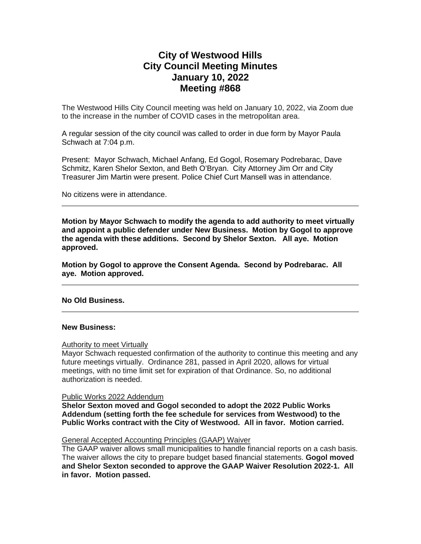# **City of Westwood Hills City Council Meeting Minutes January 10, 2022 Meeting #868**

The Westwood Hills City Council meeting was held on January 10, 2022, via Zoom due to the increase in the number of COVID cases in the metropolitan area.

A regular session of the city council was called to order in due form by Mayor Paula Schwach at 7:04 p.m.

Present: Mayor Schwach, Michael Anfang, Ed Gogol, Rosemary Podrebarac, Dave Schmitz, Karen Shelor Sexton, and Beth O'Bryan. City Attorney Jim Orr and City Treasurer Jim Martin were present. Police Chief Curt Mansell was in attendance.

No citizens were in attendance.

**Motion by Mayor Schwach to modify the agenda to add authority to meet virtually and appoint a public defender under New Business. Motion by Gogol to approve the agenda with these additions. Second by Shelor Sexton. All aye. Motion approved.** 

**Motion by Gogol to approve the Consent Agenda. Second by Podrebarac. All aye. Motion approved.**

**No Old Business.**

### **New Business:**

#### Authority to meet Virtually

Mayor Schwach requested confirmation of the authority to continue this meeting and any future meetings virtually. Ordinance 281, passed in April 2020, allows for virtual meetings, with no time limit set for expiration of that Ordinance. So, no additional authorization is needed.

Public Works 2022 Addendum

**Shelor Sexton moved and Gogol seconded to adopt the 2022 Public Works Addendum (setting forth the fee schedule for services from Westwood) to the Public Works contract with the City of Westwood. All in favor. Motion carried.**

### General Accepted Accounting Principles (GAAP) Waiver

The GAAP waiver allows small municipalities to handle financial reports on a cash basis. The waiver allows the city to prepare budget based financial statements. **Gogol moved and Shelor Sexton seconded to approve the GAAP Waiver Resolution 2022-1. All in favor. Motion passed.**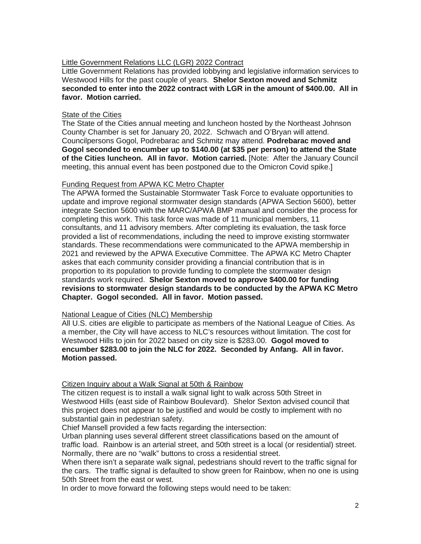### Little Government Relations LLC (LGR) 2022 Contract

Little Government Relations has provided lobbying and legislative information services to Westwood Hills for the past couple of years. **Shelor Sexton moved and Schmitz seconded to enter into the 2022 contract with LGR in the amount of \$400.00. All in favor. Motion carried.**

### State of the Cities

The State of the Cities annual meeting and luncheon hosted by the Northeast Johnson County Chamber is set for January 20, 2022. Schwach and O'Bryan will attend. Councilpersons Gogol, Podrebarac and Schmitz may attend. **Podrebarac moved and Gogol seconded to encumber up to \$140.00 (at \$35 per person) to attend the State of the Cities luncheon. All in favor. Motion carried.** [Note: After the January Council meeting, this annual event has been postponed due to the Omicron Covid spike.]

## Funding Request from APWA KC Metro Chapter

The APWA formed the Sustainable Stormwater Task Force to evaluate opportunities to update and improve regional stormwater design standards (APWA Section 5600), better integrate Section 5600 with the MARC/APWA BMP manual and consider the process for completing this work. This task force was made of 11 municipal members, 11 consultants, and 11 advisory members. After completing its evaluation, the task force provided a list of recommendations, including the need to improve existing stormwater standards. These recommendations were communicated to the APWA membership in 2021 and reviewed by the APWA Executive Committee. The APWA KC Metro Chapter askes that each community consider providing a financial contribution that is in proportion to its population to provide funding to complete the stormwater design standards work required. **Shelor Sexton moved to approve \$400.00 for funding revisions to stormwater design standards to be conducted by the APWA KC Metro Chapter. Gogol seconded. All in favor. Motion passed.**

### National League of Cities (NLC) Membership

All U.S. cities are eligible to participate as members of the National League of Cities. As a member, the City will have access to NLC's resources without limitation. The cost for Westwood Hills to join for 2022 based on city size is \$283.00. **Gogol moved to encumber \$283.00 to join the NLC for 2022. Seconded by Anfang. All in favor. Motion passed.**

### Citizen Inquiry about a Walk Signal at 50th & Rainbow

The citizen request is to install a walk signal light to walk across 50th Street in Westwood Hills (east side of Rainbow Boulevard). Shelor Sexton advised council that this project does not appear to be justified and would be costly to implement with no substantial gain in pedestrian safety.

Chief Mansell provided a few facts regarding the intersection:

Urban planning uses several different street classifications based on the amount of traffic load. Rainbow is an arterial street, and 50th street is a local (or residential) street. Normally, there are no "walk" buttons to cross a residential street.

When there isn't a separate walk signal, pedestrians should revert to the traffic signal for the cars. The traffic signal is defaulted to show green for Rainbow, when no one is using 50th Street from the east or west.

In order to move forward the following steps would need to be taken: